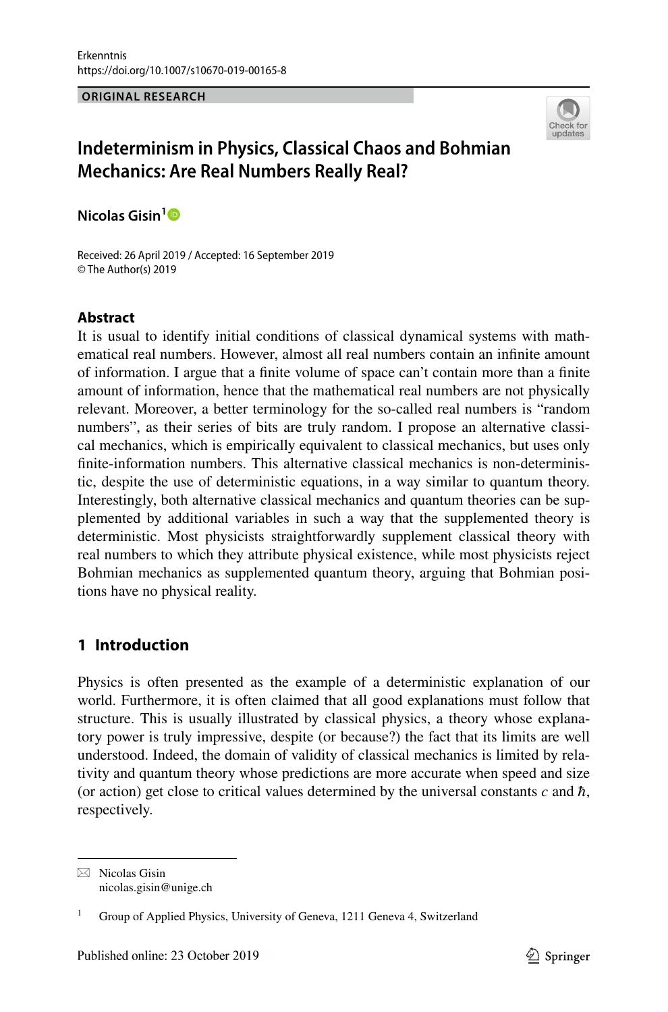#### **ORIGINAL RESEARCH**



# **Indeterminism in Physics, Classical Chaos and Bohmian Mechanics: Are Real Numbers Really Real?**

**Nicolas Gisin[1](http://orcid.org/0000-0003-0788-3494)**

Received: 26 April 2019 / Accepted: 16 September 2019 © The Author(s) 2019

## **Abstract**

It is usual to identify initial conditions of classical dynamical systems with mathematical real numbers. However, almost all real numbers contain an infnite amount of information. I argue that a fnite volume of space can't contain more than a fnite amount of information, hence that the mathematical real numbers are not physically relevant. Moreover, a better terminology for the so-called real numbers is "random numbers", as their series of bits are truly random. I propose an alternative classical mechanics, which is empirically equivalent to classical mechanics, but uses only fnite-information numbers. This alternative classical mechanics is non-deterministic, despite the use of deterministic equations, in a way similar to quantum theory. Interestingly, both alternative classical mechanics and quantum theories can be supplemented by additional variables in such a way that the supplemented theory is deterministic. Most physicists straightforwardly supplement classical theory with real numbers to which they attribute physical existence, while most physicists reject Bohmian mechanics as supplemented quantum theory, arguing that Bohmian positions have no physical reality.

# **1 Introduction**

Physics is often presented as the example of a deterministic explanation of our world. Furthermore, it is often claimed that all good explanations must follow that structure. This is usually illustrated by classical physics, a theory whose explanatory power is truly impressive, despite (or because?) the fact that its limits are well understood. Indeed, the domain of validity of classical mechanics is limited by relativity and quantum theory whose predictions are more accurate when speed and size (or action) get close to critical values determined by the universal constants  $c$  and  $\hbar$ , respectively.

 $\boxtimes$  Nicolas Gisin nicolas.gisin@unige.ch

<sup>1</sup> Group of Applied Physics, University of Geneva, 1211 Geneva 4, Switzerland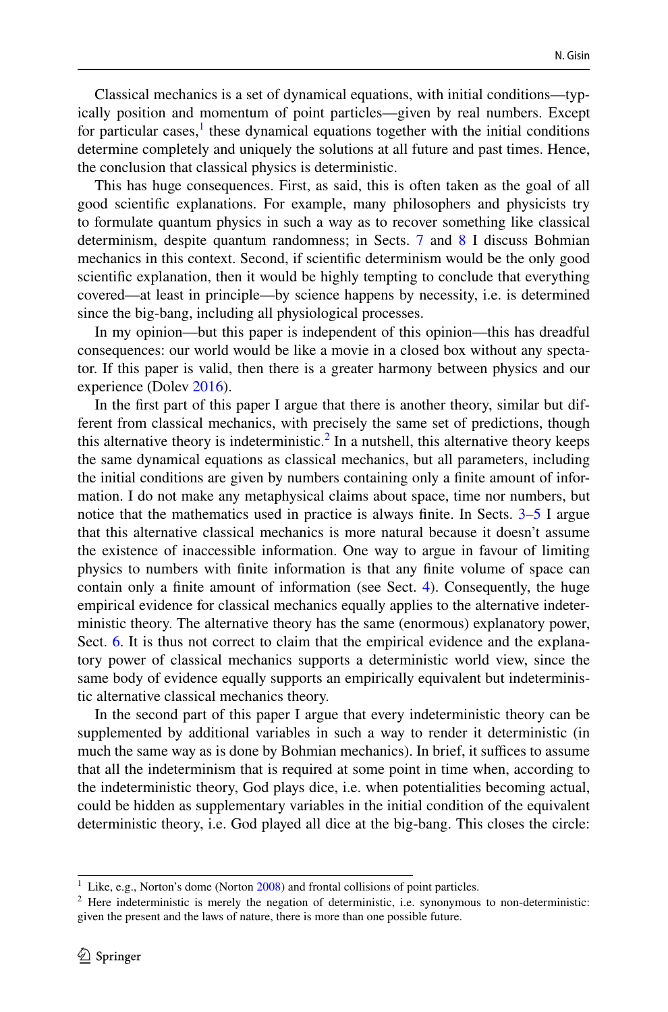Classical mechanics is a set of dynamical equations, with initial conditions—typically position and momentum of point particles—given by real numbers. Except for particular cases,<sup>[1](#page-1-0)</sup> these dynamical equations together with the initial conditions determine completely and uniquely the solutions at all future and past times. Hence, the conclusion that classical physics is deterministic.

This has huge consequences. First, as said, this is often taken as the goal of all good scientifc explanations. For example, many philosophers and physicists try to formulate quantum physics in such a way as to recover something like classical determinism, despite quantum randomness; in Sects. [7](#page-9-0) and [8](#page-10-0) I discuss Bohmian mechanics in this context. Second, if scientifc determinism would be the only good scientifc explanation, then it would be highly tempting to conclude that everything covered—at least in principle—by science happens by necessity, i.e. is determined since the big-bang, including all physiological processes.

In my opinion—but this paper is independent of this opinion—this has dreadful consequences: our world would be like a movie in a closed box without any spectator. If this paper is valid, then there is a greater harmony between physics and our experience (Dolev [2016\)](#page-12-0).

In the frst part of this paper I argue that there is another theory, similar but different from classical mechanics, with precisely the same set of predictions, though this alternative theory is indeterministic.<sup>[2](#page-1-1)</sup> In a nutshell, this alternative theory keeps the same dynamical equations as classical mechanics, but all parameters, including the initial conditions are given by numbers containing only a fnite amount of information. I do not make any metaphysical claims about space, time nor numbers, but notice that the mathematics used in practice is always fnite. In Sects. [3](#page-4-0)[–5](#page-7-0) I argue that this alternative classical mechanics is more natural because it doesn't assume the existence of inaccessible information. One way to argue in favour of limiting physics to numbers with fnite information is that any fnite volume of space can contain only a fnite amount of information (see Sect. [4](#page-5-0)). Consequently, the huge empirical evidence for classical mechanics equally applies to the alternative indeterministic theory. The alternative theory has the same (enormous) explanatory power, Sect. [6.](#page-8-0) It is thus not correct to claim that the empirical evidence and the explanatory power of classical mechanics supports a deterministic world view, since the same body of evidence equally supports an empirically equivalent but indeterministic alternative classical mechanics theory.

In the second part of this paper I argue that every indeterministic theory can be supplemented by additional variables in such a way to render it deterministic (in much the same way as is done by Bohmian mechanics). In brief, it suffices to assume that all the indeterminism that is required at some point in time when, according to the indeterministic theory, God plays dice, i.e. when potentialities becoming actual, could be hidden as supplementary variables in the initial condition of the equivalent deterministic theory, i.e. God played all dice at the big-bang. This closes the circle:

<span id="page-1-0"></span> $1$  Like, e.g., Norton's dome (Norton  $2008$ ) and frontal collisions of point particles.

<span id="page-1-1"></span> $2$  Here indeterministic is merely the negation of deterministic, i.e. synonymous to non-deterministic: given the present and the laws of nature, there is more than one possible future.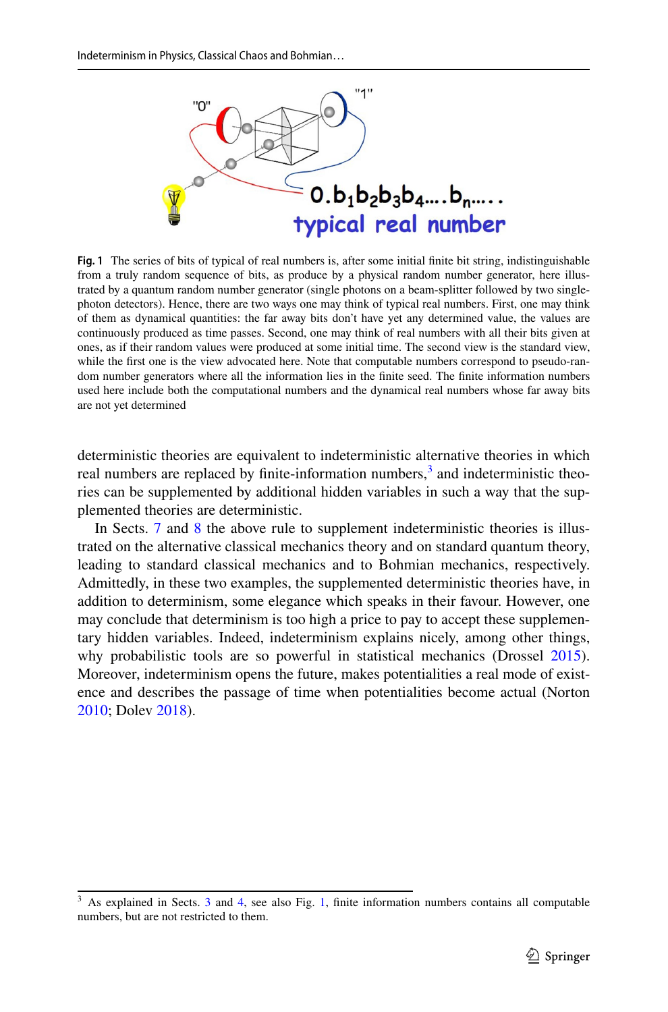<span id="page-2-1"></span>

**Fig. 1** The series of bits of typical of real numbers is, after some initial fnite bit string, indistinguishable from a truly random sequence of bits, as produce by a physical random number generator, here illustrated by a quantum random number generator (single photons on a beam-splitter followed by two singlephoton detectors). Hence, there are two ways one may think of typical real numbers. First, one may think of them as dynamical quantities: the far away bits don't have yet any determined value, the values are continuously produced as time passes. Second, one may think of real numbers with all their bits given at ones, as if their random values were produced at some initial time. The second view is the standard view, while the first one is the view advocated here. Note that computable numbers correspond to pseudo-random number generators where all the information lies in the fnite seed. The fnite information numbers used here include both the computational numbers and the dynamical real numbers whose far away bits are not yet determined

deterministic theories are equivalent to indeterministic alternative theories in which real numbers are replaced by finite-information numbers,<sup>3</sup> and indeterministic theories can be supplemented by additional hidden variables in such a way that the supplemented theories are deterministic.

In Sects. [7](#page-9-0) and [8](#page-10-0) the above rule to supplement indeterministic theories is illustrated on the alternative classical mechanics theory and on standard quantum theory, leading to standard classical mechanics and to Bohmian mechanics, respectively. Admittedly, in these two examples, the supplemented deterministic theories have, in addition to determinism, some elegance which speaks in their favour. However, one may conclude that determinism is too high a price to pay to accept these supplementary hidden variables. Indeed, indeterminism explains nicely, among other things, why probabilistic tools are so powerful in statistical mechanics (Drossel [2015\)](#page-12-2). Moreover, indeterminism opens the future, makes potentialities a real mode of existence and describes the passage of time when potentialities become actual (Norton [2010](#page-12-3); Dolev [2018](#page-12-4)).

<span id="page-2-0"></span> $3$  As explained in Sects. [3](#page-4-0) and [4](#page-5-0), see also Fig. [1](#page-2-1), finite information numbers contains all computable numbers, but are not restricted to them.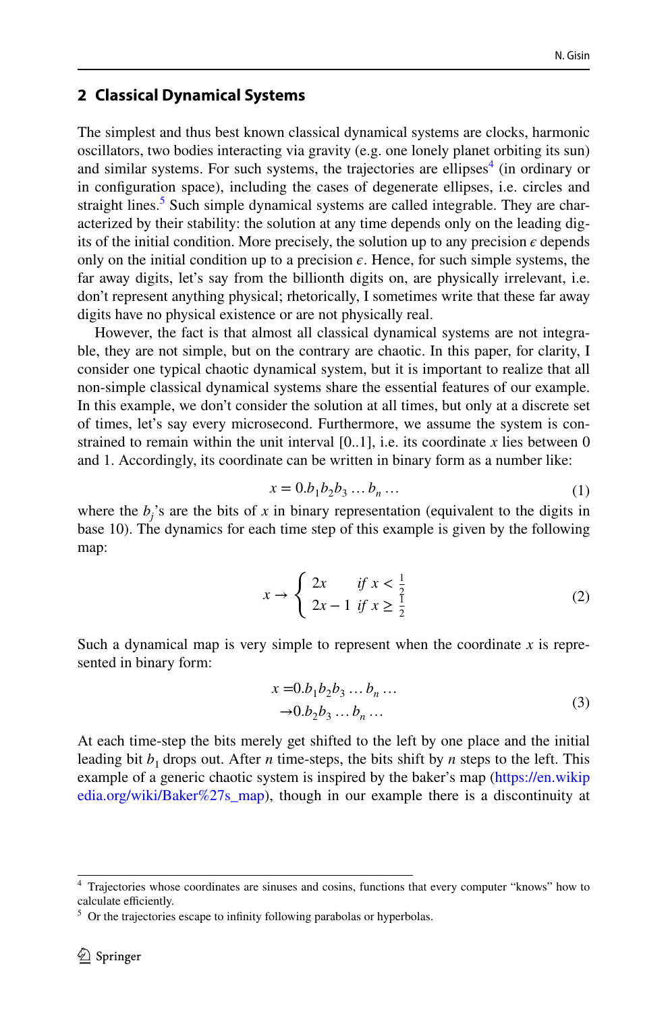#### <span id="page-3-3"></span>**2 Classical Dynamical Systems**

The simplest and thus best known classical dynamical systems are clocks, harmonic oscillators, two bodies interacting via gravity (e.g. one lonely planet orbiting its sun) and similar systems. For such systems, the trajectories are ellipses $4$  (in ordinary or in confguration space), including the cases of degenerate ellipses, i.e. circles and straight lines.<sup>5</sup> Such simple dynamical systems are called integrable. They are characterized by their stability: the solution at any time depends only on the leading digits of the initial condition. More precisely, the solution up to any precision  $\epsilon$  depends only on the initial condition up to a precision  $\epsilon$ . Hence, for such simple systems, the far away digits, let's say from the billionth digits on, are physically irrelevant, i.e. don't represent anything physical; rhetorically, I sometimes write that these far away digits have no physical existence or are not physically real.

However, the fact is that almost all classical dynamical systems are not integrable, they are not simple, but on the contrary are chaotic. In this paper, for clarity, I consider one typical chaotic dynamical system, but it is important to realize that all non-simple classical dynamical systems share the essential features of our example. In this example, we don't consider the solution at all times, but only at a discrete set of times, let's say every microsecond. Furthermore, we assume the system is constrained to remain within the unit interval  $[0,1]$ , i.e. its coordinate x lies between 0 and 1. Accordingly, its coordinate can be written in binary form as a number like:

<span id="page-3-2"></span>
$$
x = 0.b_1b_2b_3\ldots b_n\ldots \tag{1}
$$

where the  $b_j$ 's are the bits of *x* in binary representation (equivalent to the digits in base 10). The dynamics for each time step of this example is given by the following map:

$$
x \to \begin{cases} 2x & \text{if } x < \frac{1}{2} \\ 2x - 1 & \text{if } x \ge \frac{1}{2} \end{cases}
$$
 (2)

Such a dynamical map is very simple to represent when the coordinate *x* is represented in binary form:

$$
x = 0.b1b2b3 \dots bn \dots \n\rightarrow 0.b2b3 \dots bn \dots
$$
\n(3)

At each time-step the bits merely get shifted to the left by one place and the initial leading bit  $b_1$  drops out. After *n* time-steps, the bits shift by *n* steps to the left. This example of a generic chaotic system is inspired by the baker's map ([https://en.wikip](https://en.wikipedia.org/wiki/Baker%27s_map) [edia.org/wiki/Baker%27s\\_map](https://en.wikipedia.org/wiki/Baker%27s_map)), though in our example there is a discontinuity at

<span id="page-3-0"></span><sup>4</sup> Trajectories whose coordinates are sinuses and cosins, functions that every computer "knows" how to calculate efficiently.

<span id="page-3-1"></span> $5$  Or the trajectories escape to infinity following parabolas or hyperbolas.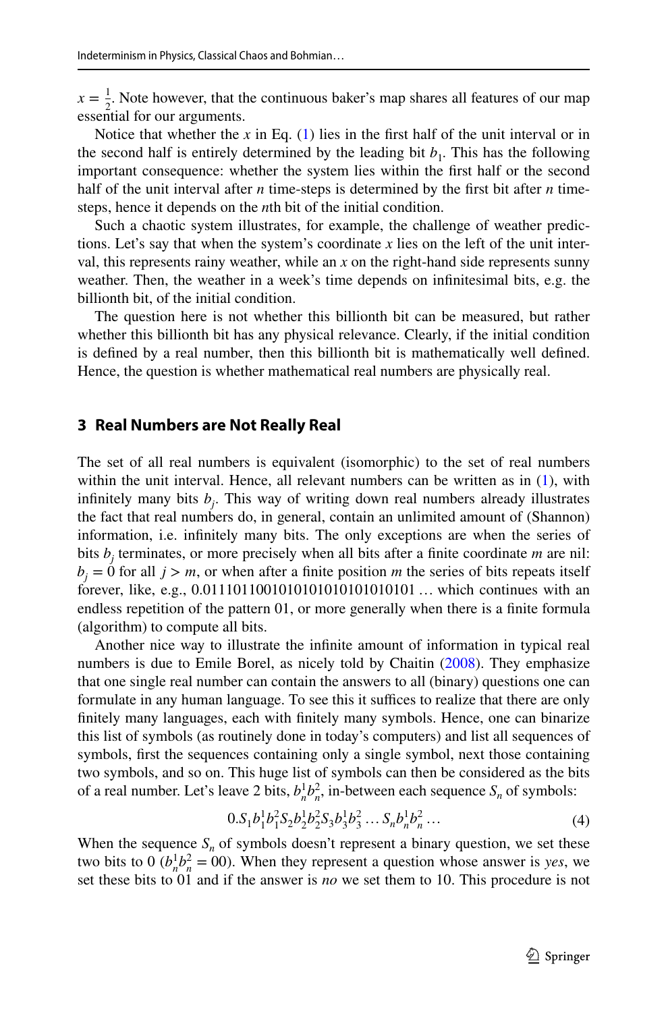$x = \frac{1}{2}$ . Note however, that the continuous baker's map shares all features of our map essential for our arguments.

Notice that whether the  $x$  in Eq. ([1\)](#page-3-2) lies in the first half of the unit interval or in the second half is entirely determined by the leading bit  $b_1$ . This has the following important consequence: whether the system lies within the frst half or the second half of the unit interval after *n* time-steps is determined by the first bit after *n* timesteps, hence it depends on the *n*th bit of the initial condition.

Such a chaotic system illustrates, for example, the challenge of weather predictions. Let's say that when the system's coordinate  $x$  lies on the left of the unit interval, this represents rainy weather, while an *x* on the right-hand side represents sunny weather. Then, the weather in a week's time depends on infnitesimal bits, e.g. the billionth bit, of the initial condition.

The question here is not whether this billionth bit can be measured, but rather whether this billionth bit has any physical relevance. Clearly, if the initial condition is defned by a real number, then this billionth bit is mathematically well defned. Hence, the question is whether mathematical real numbers are physically real.

#### <span id="page-4-0"></span>**3 Real Numbers are Not Really Real**

The set of all real numbers is equivalent (isomorphic) to the set of real numbers within the unit interval. Hence, all relevant numbers can be written as in  $(1)$  $(1)$ , with infnitely many bits *bj* . This way of writing down real numbers already illustrates the fact that real numbers do, in general, contain an unlimited amount of (Shannon) information, i.e. infnitely many bits. The only exceptions are when the series of bits *bj* terminates, or more precisely when all bits after a fnite coordinate *m* are nil:  $b_i = 0$  for all  $j > m$ , or when after a finite position *m* the series of bits repeats itself forever, like, e.g., 0.0111011001010101010101010101 … which continues with an endless repetition of the pattern 01, or more generally when there is a fnite formula (algorithm) to compute all bits.

Another nice way to illustrate the infnite amount of information in typical real numbers is due to Emile Borel, as nicely told by Chaitin ([2008\)](#page-12-5). They emphasize that one single real number can contain the answers to all (binary) questions one can formulate in any human language. To see this it suffices to realize that there are only fnitely many languages, each with fnitely many symbols. Hence, one can binarize this list of symbols (as routinely done in today's computers) and list all sequences of symbols, frst the sequences containing only a single symbol, next those containing two symbols, and so on. This huge list of symbols can then be considered as the bits of a real number. Let's leave 2 bits,  $b_n^1 b_n^2$ , in-between each sequence  $S_n$  of symbols:

$$
0.S_1b_1^1b_1^2S_2b_2^1b_2^2S_3b_3^1b_3^2\ldots S_nb_n^1b_n^2\ldots
$$
\n(4)

When the sequence  $S_n$  of symbols doesn't represent a binary question, we set these two bits to 0  $(b_n^1 b_n^2 = 00)$ . When they represent a question whose answer is *yes*, we set these bits to 01 and if the answer is *no* we set them to 10. This procedure is not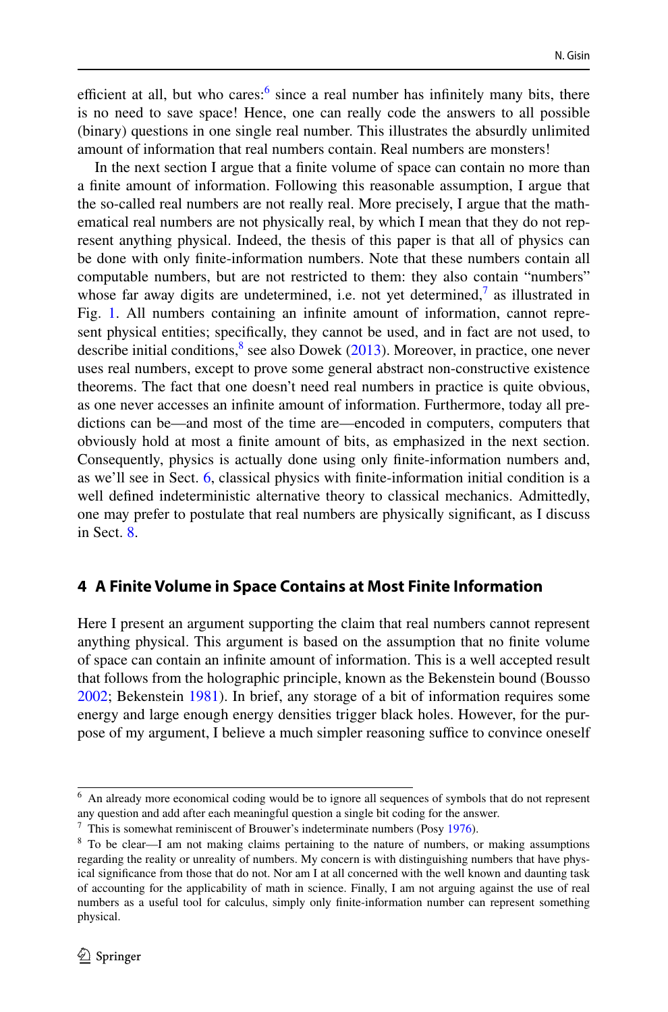efficient at all, but who cares: $6 \text{ since a real number has infinitely many bits, there}$  $6 \text{ since a real number has infinitely many bits, there}$ is no need to save space! Hence, one can really code the answers to all possible (binary) questions in one single real number. This illustrates the absurdly unlimited amount of information that real numbers contain. Real numbers are monsters!

In the next section I argue that a fnite volume of space can contain no more than a fnite amount of information. Following this reasonable assumption, I argue that the so-called real numbers are not really real. More precisely, I argue that the mathematical real numbers are not physically real, by which I mean that they do not represent anything physical. Indeed, the thesis of this paper is that all of physics can be done with only fnite-information numbers. Note that these numbers contain all computable numbers, but are not restricted to them: they also contain "numbers" whose far away digits are undetermined, i.e. not yet determined,<sup> $\prime$ </sup> as illustrated in Fig. [1](#page-2-1). All numbers containing an infnite amount of information, cannot represent physical entities; specifcally, they cannot be used, and in fact are not used, to describe initial conditions, $\delta$  see also Dowek ([2013\)](#page-12-6). Moreover, in practice, one never uses real numbers, except to prove some general abstract non-constructive existence theorems. The fact that one doesn't need real numbers in practice is quite obvious, as one never accesses an infnite amount of information. Furthermore, today all predictions can be—and most of the time are—encoded in computers, computers that obviously hold at most a fnite amount of bits, as emphasized in the next section. Consequently, physics is actually done using only fnite-information numbers and, as we'll see in Sect. [6,](#page-8-0) classical physics with fnite-information initial condition is a well defned indeterministic alternative theory to classical mechanics. Admittedly, one may prefer to postulate that real numbers are physically signifcant, as I discuss in Sect. [8.](#page-10-0)

#### <span id="page-5-0"></span>**4 A Finite Volume in Space Contains at Most Finite Information**

Here I present an argument supporting the claim that real numbers cannot represent anything physical. This argument is based on the assumption that no fnite volume of space can contain an infnite amount of information. This is a well accepted result that follows from the holographic principle, known as the Bekenstein bound (Bousso [2002](#page-12-7); Bekenstein [1981](#page-12-8)). In brief, any storage of a bit of information requires some energy and large enough energy densities trigger black holes. However, for the purpose of my argument, I believe a much simpler reasoning suffice to convince oneself

<span id="page-5-1"></span> $<sup>6</sup>$  An already more economical coding would be to ignore all sequences of symbols that do not represent</sup> any question and add after each meaningful question a single bit coding for the answer.

<span id="page-5-2"></span> $7$  This is somewhat reminiscent of Brouwer's indeterminate numbers (Posy [1976](#page-12-9)).

<span id="page-5-3"></span><sup>8</sup> To be clear—I am not making claims pertaining to the nature of numbers, or making assumptions regarding the reality or unreality of numbers. My concern is with distinguishing numbers that have physical signifcance from those that do not. Nor am I at all concerned with the well known and daunting task of accounting for the applicability of math in science. Finally, I am not arguing against the use of real numbers as a useful tool for calculus, simply only fnite-information number can represent something physical.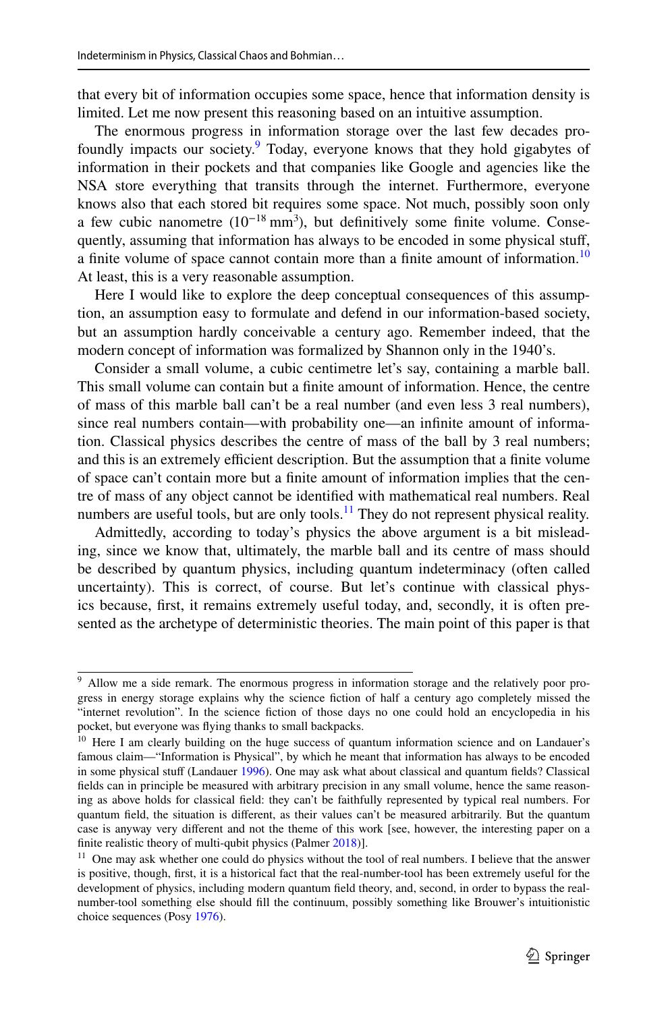that every bit of information occupies some space, hence that information density is limited. Let me now present this reasoning based on an intuitive assumption.

The enormous progress in information storage over the last few decades pro-foundly impacts our society.<sup>[9](#page-6-0)</sup> Today, everyone knows that they hold gigabytes of information in their pockets and that companies like Google and agencies like the NSA store everything that transits through the internet. Furthermore, everyone knows also that each stored bit requires some space. Not much, possibly soon only a few cubic nanometre  $(10^{-18} \text{ mm}^3)$ , but definitively some finite volume. Consequently, assuming that information has always to be encoded in some physical stuf, a finite volume of space cannot contain more than a finite amount of information.<sup>[10](#page-6-1)</sup> At least, this is a very reasonable assumption.

Here I would like to explore the deep conceptual consequences of this assumption, an assumption easy to formulate and defend in our information-based society, but an assumption hardly conceivable a century ago. Remember indeed, that the modern concept of information was formalized by Shannon only in the 1940's.

Consider a small volume, a cubic centimetre let's say, containing a marble ball. This small volume can contain but a fnite amount of information. Hence, the centre of mass of this marble ball can't be a real number (and even less 3 real numbers), since real numbers contain—with probability one—an infnite amount of information. Classical physics describes the centre of mass of the ball by 3 real numbers; and this is an extremely efficient description. But the assumption that a finite volume of space can't contain more but a fnite amount of information implies that the centre of mass of any object cannot be identifed with mathematical real numbers. Real numbers are useful tools, but are only tools.<sup>11</sup> They do not represent physical reality.

Admittedly, according to today's physics the above argument is a bit misleading, since we know that, ultimately, the marble ball and its centre of mass should be described by quantum physics, including quantum indeterminacy (often called uncertainty). This is correct, of course. But let's continue with classical physics because, frst, it remains extremely useful today, and, secondly, it is often presented as the archetype of deterministic theories. The main point of this paper is that

<span id="page-6-0"></span><sup>&</sup>lt;sup>9</sup> Allow me a side remark. The enormous progress in information storage and the relatively poor progress in energy storage explains why the science fction of half a century ago completely missed the "internet revolution". In the science fction of those days no one could hold an encyclopedia in his pocket, but everyone was fying thanks to small backpacks.

<span id="page-6-1"></span><sup>&</sup>lt;sup>10</sup> Here I am clearly building on the huge success of quantum information science and on Landauer's famous claim—"Information is Physical", by which he meant that information has always to be encoded in some physical stuff (Landauer [1996](#page-12-10)). One may ask what about classical and quantum fields? Classical felds can in principle be measured with arbitrary precision in any small volume, hence the same reasoning as above holds for classical feld: they can't be faithfully represented by typical real numbers. For quantum feld, the situation is diferent, as their values can't be measured arbitrarily. But the quantum case is anyway very diferent and not the theme of this work [see, however, the interesting paper on a finite realistic theory of multi-qubit physics (Palmer [2018\)](#page-12-11)].

<span id="page-6-2"></span><sup>&</sup>lt;sup>11</sup> One may ask whether one could do physics without the tool of real numbers. I believe that the answer is positive, though, frst, it is a historical fact that the real-number-tool has been extremely useful for the development of physics, including modern quantum feld theory, and, second, in order to bypass the realnumber-tool something else should fll the continuum, possibly something like Brouwer's intuitionistic choice sequences (Posy [1976](#page-12-9)).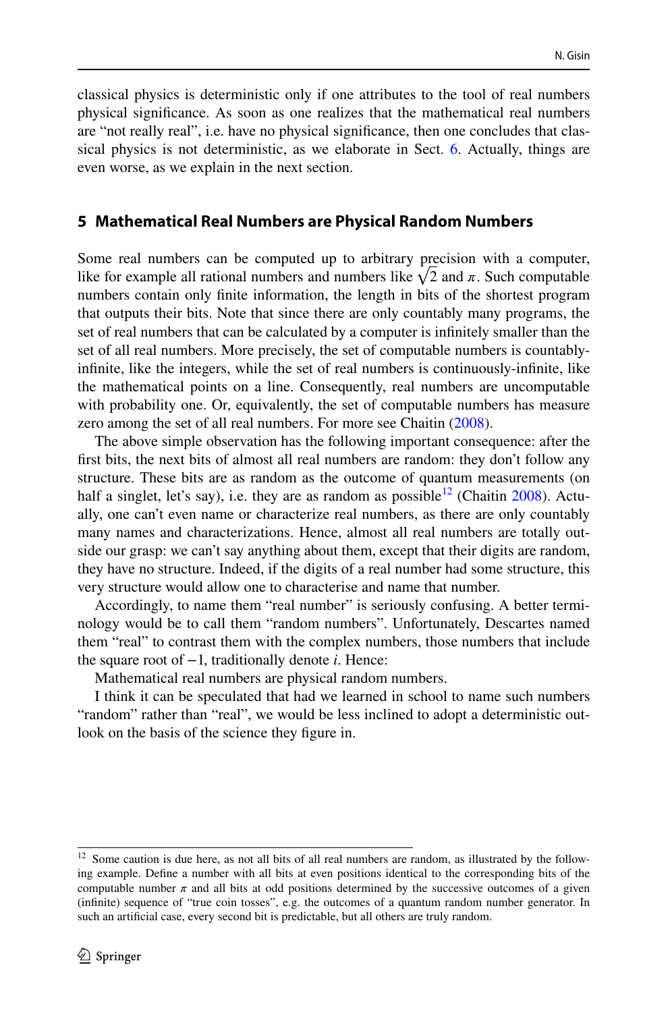classical physics is deterministic only if one attributes to the tool of real numbers physical signifcance. As soon as one realizes that the mathematical real numbers are "not really real", i.e. have no physical signifcance, then one concludes that classical physics is not deterministic, as we elaborate in Sect. [6](#page-8-0). Actually, things are even worse, as we explain in the next section.

## <span id="page-7-0"></span>**5 Mathematical Real Numbers are Physical Random Numbers**

Some real numbers can be computed up to arbitrary precision with a computer, like for example all rational numbers and numbers like  $\sqrt{2}$  and  $\pi$ . Such computable numbers contain only fnite information, the length in bits of the shortest program that outputs their bits. Note that since there are only countably many programs, the set of real numbers that can be calculated by a computer is infnitely smaller than the set of all real numbers. More precisely, the set of computable numbers is countablyinfnite, like the integers, while the set of real numbers is continuously-infnite, like the mathematical points on a line. Consequently, real numbers are uncomputable with probability one. Or, equivalently, the set of computable numbers has measure zero among the set of all real numbers. For more see Chaitin ([2008\)](#page-12-5).

The above simple observation has the following important consequence: after the frst bits, the next bits of almost all real numbers are random: they don't follow any structure. These bits are as random as the outcome of quantum measurements (on half a singlet, let's say), i.e. they are as random as possible<sup>12</sup> (Chaitin [2008\)](#page-12-5). Actually, one can't even name or characterize real numbers, as there are only countably many names and characterizations. Hence, almost all real numbers are totally outside our grasp: we can't say anything about them, except that their digits are random, they have no structure. Indeed, if the digits of a real number had some structure, this very structure would allow one to characterise and name that number.

Accordingly, to name them "real number" is seriously confusing. A better terminology would be to call them "random numbers". Unfortunately, Descartes named them "real" to contrast them with the complex numbers, those numbers that include the square root of −1, traditionally denote *i*. Hence:

Mathematical real numbers are physical random numbers.

I think it can be speculated that had we learned in school to name such numbers "random" rather than "real", we would be less inclined to adopt a deterministic outlook on the basis of the science they fgure in.

<span id="page-7-1"></span><sup>&</sup>lt;sup>12</sup> Some caution is due here, as not all bits of all real numbers are random, as illustrated by the following example. Defne a number with all bits at even positions identical to the corresponding bits of the computable number  $\pi$  and all bits at odd positions determined by the successive outcomes of a given (infnite) sequence of "true coin tosses", e.g. the outcomes of a quantum random number generator. In such an artifcial case, every second bit is predictable, but all others are truly random.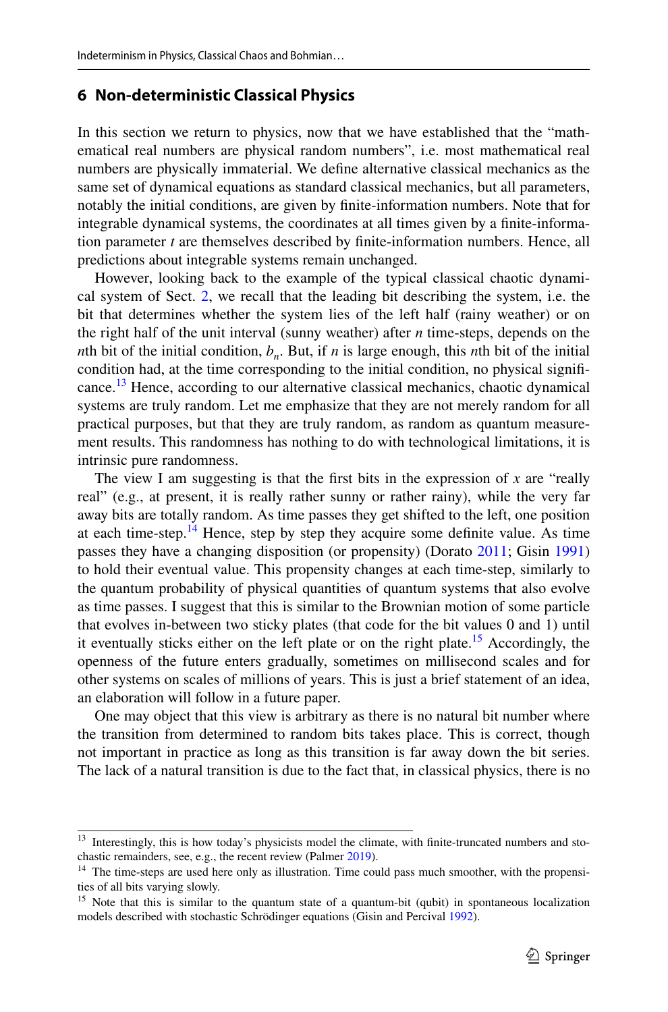## <span id="page-8-0"></span>**6 Non‑deterministic Classical Physics**

In this section we return to physics, now that we have established that the "mathematical real numbers are physical random numbers", i.e. most mathematical real numbers are physically immaterial. We defne alternative classical mechanics as the same set of dynamical equations as standard classical mechanics, but all parameters, notably the initial conditions, are given by fnite-information numbers. Note that for integrable dynamical systems, the coordinates at all times given by a fnite-information parameter *t* are themselves described by fnite-information numbers. Hence, all predictions about integrable systems remain unchanged.

However, looking back to the example of the typical classical chaotic dynamical system of Sect. [2](#page-3-3), we recall that the leading bit describing the system, i.e. the bit that determines whether the system lies of the left half (rainy weather) or on the right half of the unit interval (sunny weather) after *n* time-steps, depends on the *n*th bit of the initial condition,  $b_n$ . But, if *n* is large enough, this *n*th bit of the initial condition had, at the time corresponding to the initial condition, no physical signifcance[.13](#page-8-1) Hence, according to our alternative classical mechanics, chaotic dynamical systems are truly random. Let me emphasize that they are not merely random for all practical purposes, but that they are truly random, as random as quantum measurement results. This randomness has nothing to do with technological limitations, it is intrinsic pure randomness.

The view I am suggesting is that the frst bits in the expression of *x* are "really real" (e.g., at present, it is really rather sunny or rather rainy), while the very far away bits are totally random. As time passes they get shifted to the left, one position at each time-step.<sup>14</sup> Hence, step by step they acquire some definite value. As time passes they have a changing disposition (or propensity) (Dorato [2011](#page-12-12); Gisin [1991](#page-12-13)) to hold their eventual value. This propensity changes at each time-step, similarly to the quantum probability of physical quantities of quantum systems that also evolve as time passes. I suggest that this is similar to the Brownian motion of some particle that evolves in-between two sticky plates (that code for the bit values 0 and 1) until it eventually sticks either on the left plate or on the right plate.<sup>15</sup> Accordingly, the openness of the future enters gradually, sometimes on millisecond scales and for other systems on scales of millions of years. This is just a brief statement of an idea, an elaboration will follow in a future paper.

One may object that this view is arbitrary as there is no natural bit number where the transition from determined to random bits takes place. This is correct, though not important in practice as long as this transition is far away down the bit series. The lack of a natural transition is due to the fact that, in classical physics, there is no

<span id="page-8-1"></span><sup>&</sup>lt;sup>13</sup> Interestingly, this is how today's physicists model the climate, with finite-truncated numbers and stochastic remainders, see, e.g., the recent review (Palmer [2019](#page-12-14)).

<span id="page-8-2"></span><sup>&</sup>lt;sup>14</sup> The time-steps are used here only as illustration. Time could pass much smoother, with the propensities of all bits varying slowly.

<span id="page-8-3"></span><sup>&</sup>lt;sup>15</sup> Note that this is similar to the quantum state of a quantum-bit (qubit) in spontaneous localization models described with stochastic Schrödinger equations (Gisin and Percival [1992](#page-12-15)).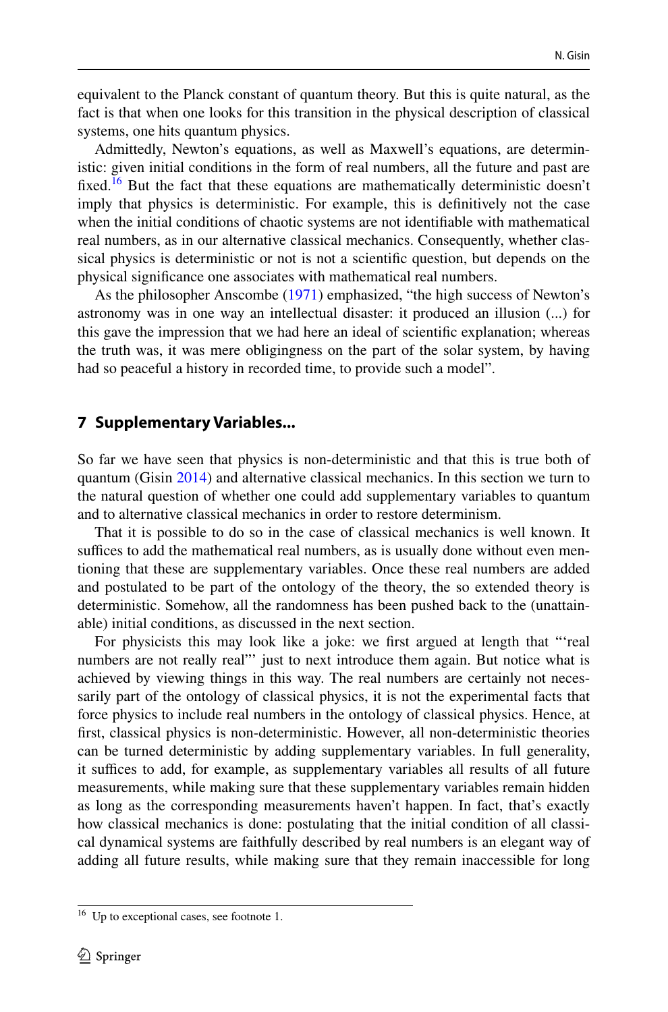equivalent to the Planck constant of quantum theory. But this is quite natural, as the fact is that when one looks for this transition in the physical description of classical systems, one hits quantum physics.

Admittedly, Newton's equations, as well as Maxwell's equations, are deterministic: given initial conditions in the form of real numbers, all the future and past are fixed.<sup>[16](#page-9-1)</sup> But the fact that these equations are mathematically deterministic doesn't imply that physics is deterministic. For example, this is defnitively not the case when the initial conditions of chaotic systems are not identifable with mathematical real numbers, as in our alternative classical mechanics. Consequently, whether classical physics is deterministic or not is not a scientifc question, but depends on the physical signifcance one associates with mathematical real numbers.

As the philosopher Anscombe [\(1971](#page-12-16)) emphasized, "the high success of Newton's astronomy was in one way an intellectual disaster: it produced an illusion (...) for this gave the impression that we had here an ideal of scientifc explanation; whereas the truth was, it was mere obligingness on the part of the solar system, by having had so peaceful a history in recorded time, to provide such a model".

#### <span id="page-9-0"></span>**7 Supplementary Variables...**

So far we have seen that physics is non-deterministic and that this is true both of quantum (Gisin [2014](#page-12-17)) and alternative classical mechanics. In this section we turn to the natural question of whether one could add supplementary variables to quantum and to alternative classical mechanics in order to restore determinism.

That it is possible to do so in the case of classical mechanics is well known. It suffices to add the mathematical real numbers, as is usually done without even mentioning that these are supplementary variables. Once these real numbers are added and postulated to be part of the ontology of the theory, the so extended theory is deterministic. Somehow, all the randomness has been pushed back to the (unattainable) initial conditions, as discussed in the next section.

For physicists this may look like a joke: we frst argued at length that "'real numbers are not really real"' just to next introduce them again. But notice what is achieved by viewing things in this way. The real numbers are certainly not necessarily part of the ontology of classical physics, it is not the experimental facts that force physics to include real numbers in the ontology of classical physics. Hence, at frst, classical physics is non-deterministic. However, all non-deterministic theories can be turned deterministic by adding supplementary variables. In full generality, it suffices to add, for example, as supplementary variables all results of all future measurements, while making sure that these supplementary variables remain hidden as long as the corresponding measurements haven't happen. In fact, that's exactly how classical mechanics is done: postulating that the initial condition of all classical dynamical systems are faithfully described by real numbers is an elegant way of adding all future results, while making sure that they remain inaccessible for long

<span id="page-9-1"></span> $16$  Up to exceptional cases, see footnote 1.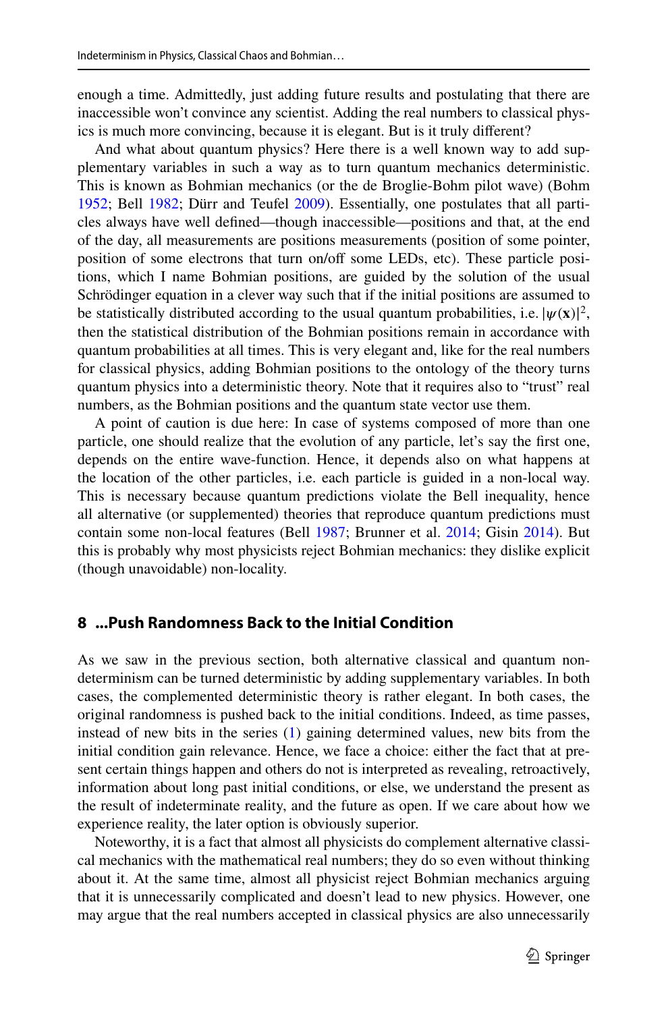enough a time. Admittedly, just adding future results and postulating that there are inaccessible won't convince any scientist. Adding the real numbers to classical physics is much more convincing, because it is elegant. But is it truly diferent?

And what about quantum physics? Here there is a well known way to add supplementary variables in such a way as to turn quantum mechanics deterministic. This is known as Bohmian mechanics (or the de Broglie-Bohm pilot wave) (Bohm [1952](#page-12-18); Bell [1982;](#page-12-19) Dürr and Teufel [2009\)](#page-12-20). Essentially, one postulates that all particles always have well defned—though inaccessible—positions and that, at the end of the day, all measurements are positions measurements (position of some pointer, position of some electrons that turn on/off some LEDs, etc). These particle positions, which I name Bohmian positions, are guided by the solution of the usual Schrödinger equation in a clever way such that if the initial positions are assumed to be statistically distributed according to the usual quantum probabilities, i.e.  $|\psi(\mathbf{x})|^2$ , then the statistical distribution of the Pohmian positions remain in accordance with then the statistical distribution of the Bohmian positions remain in accordance with quantum probabilities at all times. This is very elegant and, like for the real numbers for classical physics, adding Bohmian positions to the ontology of the theory turns quantum physics into a deterministic theory. Note that it requires also to "trust" real numbers, as the Bohmian positions and the quantum state vector use them.

A point of caution is due here: In case of systems composed of more than one particle, one should realize that the evolution of any particle, let's say the frst one, depends on the entire wave-function. Hence, it depends also on what happens at the location of the other particles, i.e. each particle is guided in a non-local way. This is necessary because quantum predictions violate the Bell inequality, hence all alternative (or supplemented) theories that reproduce quantum predictions must contain some non-local features (Bell [1987;](#page-12-21) Brunner et al. [2014;](#page-12-22) Gisin [2014\)](#page-12-17). But this is probably why most physicists reject Bohmian mechanics: they dislike explicit (though unavoidable) non-locality.

#### <span id="page-10-0"></span>**8 ...Push Randomness Back to the Initial Condition**

As we saw in the previous section, both alternative classical and quantum nondeterminism can be turned deterministic by adding supplementary variables. In both cases, the complemented deterministic theory is rather elegant. In both cases, the original randomness is pushed back to the initial conditions. Indeed, as time passes, instead of new bits in the series ([1\)](#page-3-2) gaining determined values, new bits from the initial condition gain relevance. Hence, we face a choice: either the fact that at present certain things happen and others do not is interpreted as revealing, retroactively, information about long past initial conditions, or else, we understand the present as the result of indeterminate reality, and the future as open. If we care about how we experience reality, the later option is obviously superior.

Noteworthy, it is a fact that almost all physicists do complement alternative classical mechanics with the mathematical real numbers; they do so even without thinking about it. At the same time, almost all physicist reject Bohmian mechanics arguing that it is unnecessarily complicated and doesn't lead to new physics. However, one may argue that the real numbers accepted in classical physics are also unnecessarily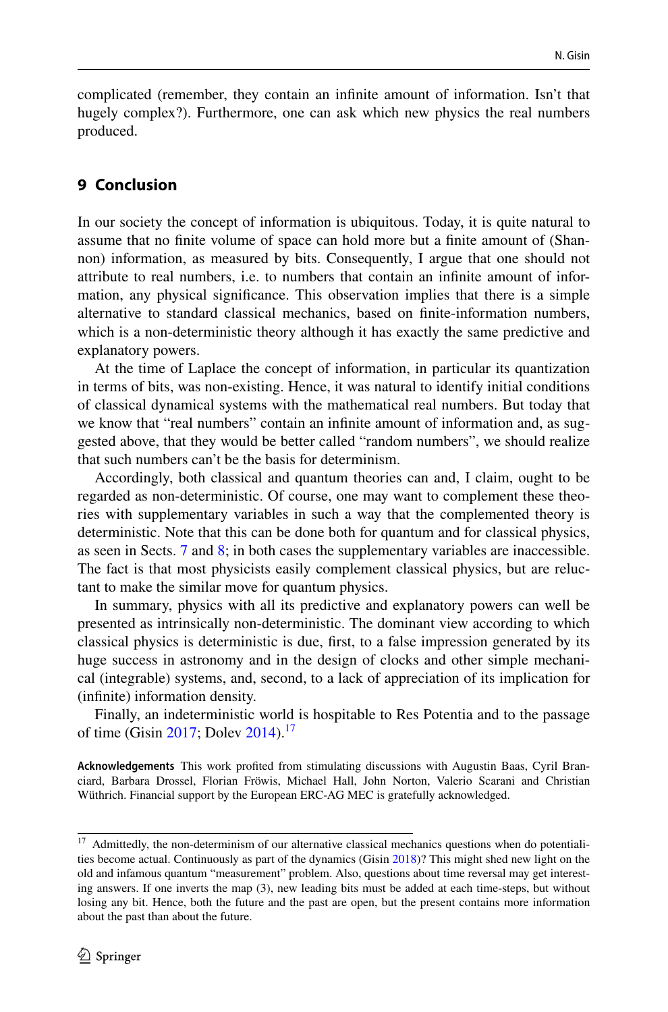complicated (remember, they contain an infnite amount of information. Isn't that hugely complex?). Furthermore, one can ask which new physics the real numbers produced.

## **9 Conclusion**

In our society the concept of information is ubiquitous. Today, it is quite natural to assume that no fnite volume of space can hold more but a fnite amount of (Shannon) information, as measured by bits. Consequently, I argue that one should not attribute to real numbers, i.e. to numbers that contain an infnite amount of information, any physical signifcance. This observation implies that there is a simple alternative to standard classical mechanics, based on fnite-information numbers, which is a non-deterministic theory although it has exactly the same predictive and explanatory powers.

At the time of Laplace the concept of information, in particular its quantization in terms of bits, was non-existing. Hence, it was natural to identify initial conditions of classical dynamical systems with the mathematical real numbers. But today that we know that "real numbers" contain an infinite amount of information and, as suggested above, that they would be better called "random numbers", we should realize that such numbers can't be the basis for determinism.

Accordingly, both classical and quantum theories can and, I claim, ought to be regarded as non-deterministic. Of course, one may want to complement these theories with supplementary variables in such a way that the complemented theory is deterministic. Note that this can be done both for quantum and for classical physics, as seen in Sects. [7](#page-9-0) and [8](#page-10-0); in both cases the supplementary variables are inaccessible. The fact is that most physicists easily complement classical physics, but are reluctant to make the similar move for quantum physics.

In summary, physics with all its predictive and explanatory powers can well be presented as intrinsically non-deterministic. The dominant view according to which classical physics is deterministic is due, frst, to a false impression generated by its huge success in astronomy and in the design of clocks and other simple mechanical (integrable) systems, and, second, to a lack of appreciation of its implication for (infnite) information density.

Finally, an indeterministic world is hospitable to Res Potentia and to the passage of time (Gisin [2017;](#page-12-23) Doley [2014\)](#page-12-24).<sup>[17](#page-11-0)</sup>

**Acknowledgements** This work profted from stimulating discussions with Augustin Baas, Cyril Branciard, Barbara Drossel, Florian Fröwis, Michael Hall, John Norton, Valerio Scarani and Christian Wüthrich. Financial support by the European ERC-AG MEC is gratefully acknowledged.

<span id="page-11-0"></span> $17$  Admittedly, the non-determinism of our alternative classical mechanics questions when do potentialities become actual. Continuously as part of the dynamics (Gisin [2018](#page-12-25))? This might shed new light on the old and infamous quantum "measurement" problem. Also, questions about time reversal may get interesting answers. If one inverts the map (3), new leading bits must be added at each time-steps, but without losing any bit. Hence, both the future and the past are open, but the present contains more information about the past than about the future.